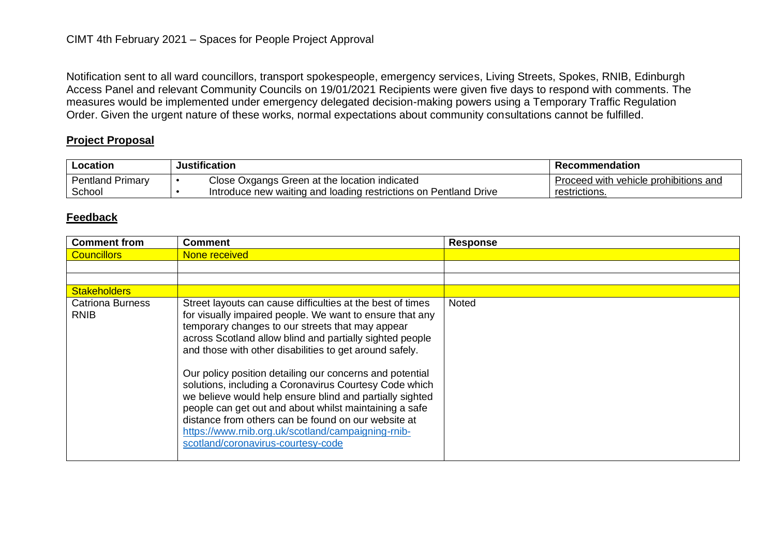Notification sent to all ward councillors, transport spokespeople, emergency services, Living Streets, Spokes, RNIB, Edinburgh Access Panel and relevant Community Councils on 19/01/2021 Recipients were given five days to respond with comments. The measures would be implemented under emergency delegated decision-making powers using a Temporary Traffic Regulation Order. Given the urgent nature of these works, normal expectations about community consultations cannot be fulfilled.

## **Project Proposal**

| Location                | <b>Justification</b> |                                                                  | Recommendation                        |
|-------------------------|----------------------|------------------------------------------------------------------|---------------------------------------|
| <b>Pentland Primary</b> |                      | Close Oxgangs Green at the location indicated                    | Proceed with vehicle prohibitions and |
| School                  |                      | Introduce new waiting and loading restrictions on Pentland Drive | restrictions.                         |

## **Feedback**

| <b>Comment from</b>                    | <b>Comment</b>                                                                                                                                                                                                                                                                                                                                                                                                                                                                                                                                                                                                                                                                                   | <b>Response</b> |
|----------------------------------------|--------------------------------------------------------------------------------------------------------------------------------------------------------------------------------------------------------------------------------------------------------------------------------------------------------------------------------------------------------------------------------------------------------------------------------------------------------------------------------------------------------------------------------------------------------------------------------------------------------------------------------------------------------------------------------------------------|-----------------|
| <b>Councillors</b>                     | None received                                                                                                                                                                                                                                                                                                                                                                                                                                                                                                                                                                                                                                                                                    |                 |
|                                        |                                                                                                                                                                                                                                                                                                                                                                                                                                                                                                                                                                                                                                                                                                  |                 |
|                                        |                                                                                                                                                                                                                                                                                                                                                                                                                                                                                                                                                                                                                                                                                                  |                 |
| <b>Stakeholders</b>                    |                                                                                                                                                                                                                                                                                                                                                                                                                                                                                                                                                                                                                                                                                                  |                 |
| <b>Catriona Burness</b><br><b>RNIB</b> | Street layouts can cause difficulties at the best of times<br>for visually impaired people. We want to ensure that any<br>temporary changes to our streets that may appear<br>across Scotland allow blind and partially sighted people<br>and those with other disabilities to get around safely.<br>Our policy position detailing our concerns and potential<br>solutions, including a Coronavirus Courtesy Code which<br>we believe would help ensure blind and partially sighted<br>people can get out and about whilst maintaining a safe<br>distance from others can be found on our website at<br>https://www.rnib.org.uk/scotland/campaigning-rnib-<br>scotland/coronavirus-courtesy-code | <b>Noted</b>    |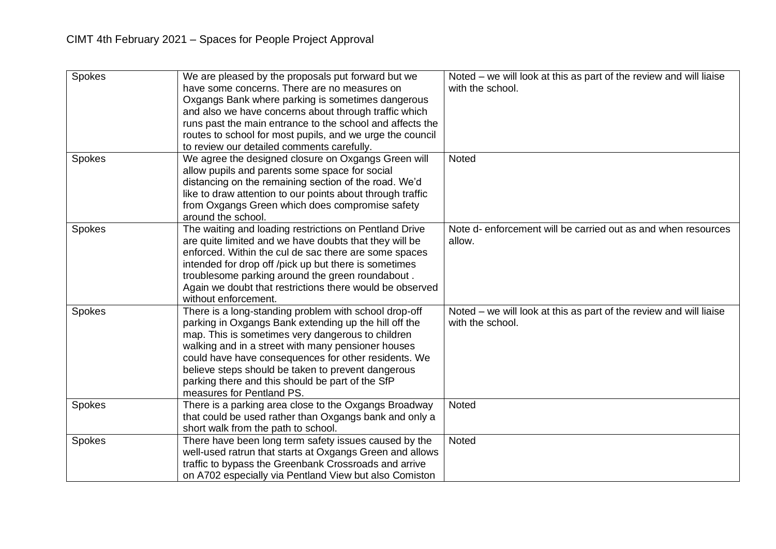| Spokes | We are pleased by the proposals put forward but we<br>have some concerns. There are no measures on<br>Oxgangs Bank where parking is sometimes dangerous<br>and also we have concerns about through traffic which<br>runs past the main entrance to the school and affects the                                                                                                                                            | Noted – we will look at this as part of the review and will liaise<br>with the school. |
|--------|--------------------------------------------------------------------------------------------------------------------------------------------------------------------------------------------------------------------------------------------------------------------------------------------------------------------------------------------------------------------------------------------------------------------------|----------------------------------------------------------------------------------------|
|        | routes to school for most pupils, and we urge the council<br>to review our detailed comments carefully.                                                                                                                                                                                                                                                                                                                  |                                                                                        |
| Spokes | We agree the designed closure on Oxgangs Green will<br>allow pupils and parents some space for social<br>distancing on the remaining section of the road. We'd<br>like to draw attention to our points about through traffic<br>from Oxgangs Green which does compromise safety<br>around the school.                                                                                                                    | Noted                                                                                  |
| Spokes | The waiting and loading restrictions on Pentland Drive<br>are quite limited and we have doubts that they will be<br>enforced. Within the cul de sac there are some spaces<br>intended for drop off /pick up but there is sometimes<br>troublesome parking around the green roundabout.<br>Again we doubt that restrictions there would be observed<br>without enforcement.                                               | Note d-enforcement will be carried out as and when resources<br>allow.                 |
| Spokes | There is a long-standing problem with school drop-off<br>parking in Oxgangs Bank extending up the hill off the<br>map. This is sometimes very dangerous to children<br>walking and in a street with many pensioner houses<br>could have have consequences for other residents. We<br>believe steps should be taken to prevent dangerous<br>parking there and this should be part of the SfP<br>measures for Pentland PS. | Noted – we will look at this as part of the review and will liaise<br>with the school. |
| Spokes | There is a parking area close to the Oxgangs Broadway<br>that could be used rather than Oxgangs bank and only a<br>short walk from the path to school.                                                                                                                                                                                                                                                                   | Noted                                                                                  |
| Spokes | There have been long term safety issues caused by the<br>well-used ratrun that starts at Oxgangs Green and allows<br>traffic to bypass the Greenbank Crossroads and arrive<br>on A702 especially via Pentland View but also Comiston                                                                                                                                                                                     | Noted                                                                                  |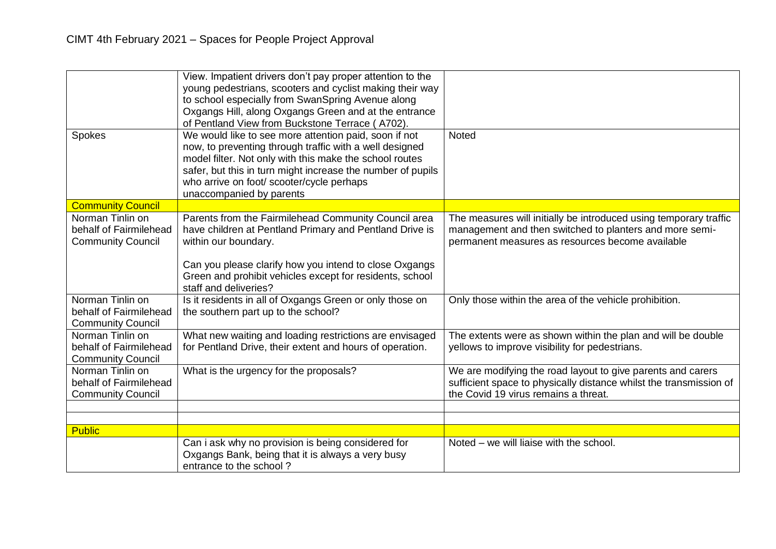| Spokes                                                                 | View. Impatient drivers don't pay proper attention to the<br>young pedestrians, scooters and cyclist making their way<br>to school especially from SwanSpring Avenue along<br>Oxgangs Hill, along Oxgangs Green and at the entrance<br>of Pentland View from Buckstone Terrace (A702).<br>We would like to see more attention paid, soon if not<br>now, to preventing through traffic with a well designed<br>model filter. Not only with this make the school routes<br>safer, but this in turn might increase the number of pupils<br>who arrive on foot/ scooter/cycle perhaps | <b>Noted</b>                                                                                                                                                                     |
|------------------------------------------------------------------------|-----------------------------------------------------------------------------------------------------------------------------------------------------------------------------------------------------------------------------------------------------------------------------------------------------------------------------------------------------------------------------------------------------------------------------------------------------------------------------------------------------------------------------------------------------------------------------------|----------------------------------------------------------------------------------------------------------------------------------------------------------------------------------|
| <b>Community Council</b>                                               | unaccompanied by parents                                                                                                                                                                                                                                                                                                                                                                                                                                                                                                                                                          |                                                                                                                                                                                  |
| Norman Tinlin on<br>behalf of Fairmilehead<br><b>Community Council</b> | Parents from the Fairmilehead Community Council area<br>have children at Pentland Primary and Pentland Drive is<br>within our boundary.<br>Can you please clarify how you intend to close Oxgangs<br>Green and prohibit vehicles except for residents, school                                                                                                                                                                                                                                                                                                                     | The measures will initially be introduced using temporary traffic<br>management and then switched to planters and more semi-<br>permanent measures as resources become available |
|                                                                        | staff and deliveries?                                                                                                                                                                                                                                                                                                                                                                                                                                                                                                                                                             |                                                                                                                                                                                  |
| Norman Tinlin on<br>behalf of Fairmilehead<br><b>Community Council</b> | Is it residents in all of Oxgangs Green or only those on<br>the southern part up to the school?                                                                                                                                                                                                                                                                                                                                                                                                                                                                                   | Only those within the area of the vehicle prohibition.                                                                                                                           |
| Norman Tinlin on<br>behalf of Fairmilehead<br><b>Community Council</b> | What new waiting and loading restrictions are envisaged<br>for Pentland Drive, their extent and hours of operation.                                                                                                                                                                                                                                                                                                                                                                                                                                                               | The extents were as shown within the plan and will be double<br>yellows to improve visibility for pedestrians.                                                                   |
| Norman Tinlin on<br>behalf of Fairmilehead<br><b>Community Council</b> | What is the urgency for the proposals?                                                                                                                                                                                                                                                                                                                                                                                                                                                                                                                                            | We are modifying the road layout to give parents and carers<br>sufficient space to physically distance whilst the transmission of<br>the Covid 19 virus remains a threat.        |
|                                                                        |                                                                                                                                                                                                                                                                                                                                                                                                                                                                                                                                                                                   |                                                                                                                                                                                  |
|                                                                        |                                                                                                                                                                                                                                                                                                                                                                                                                                                                                                                                                                                   |                                                                                                                                                                                  |
| <b>Public</b>                                                          |                                                                                                                                                                                                                                                                                                                                                                                                                                                                                                                                                                                   | Noted - we will liaise with the school.                                                                                                                                          |
|                                                                        | Can i ask why no provision is being considered for<br>Oxgangs Bank, being that it is always a very busy<br>entrance to the school?                                                                                                                                                                                                                                                                                                                                                                                                                                                |                                                                                                                                                                                  |